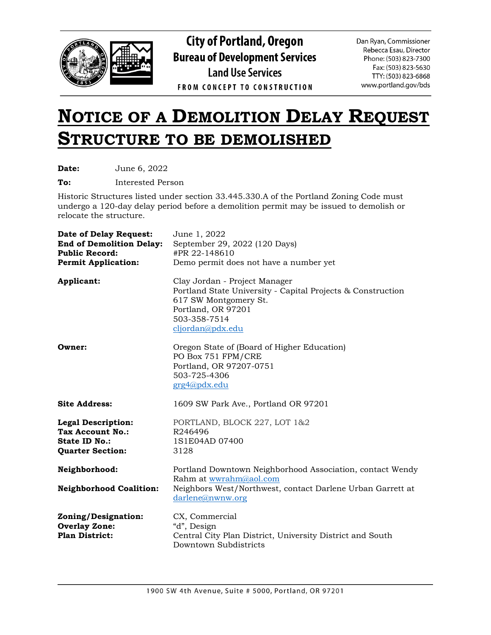

**City of Portland, Oregon Bureau of Development Services Land Use Services FROM CONCEPT TO CONSTRUCTION** 

Dan Ryan, Commissioner Rebecca Esau, Director Phone: (503) 823-7300 Fax: (503) 823-5630 TTY: (503) 823-6868 www.portland.gov/bds

## **NOTICE OF A DEMOLITION DELAY REQUEST STRUCTURE TO BE DEMOLISHED**

**Date:** June 6, 2022

**To:** Interested Person

Historic Structures listed under section 33.445.330.A of the Portland Zoning Code must undergo a 120-day delay period before a demolition permit may be issued to demolish or relocate the structure.

| <b>Date of Delay Request:</b><br><b>End of Demolition Delay:</b><br><b>Public Record:</b><br><b>Permit Application:</b> | June 1, 2022<br>September 29, 2022 (120 Days)<br>#PR 22-148610<br>Demo permit does not have a number yet                                                                        |
|-------------------------------------------------------------------------------------------------------------------------|---------------------------------------------------------------------------------------------------------------------------------------------------------------------------------|
| Applicant:                                                                                                              | Clay Jordan - Project Manager<br>Portland State University - Capital Projects & Construction<br>617 SW Montgomery St.<br>Portland, OR 97201<br>503-358-7514<br>cljordan@pdx.edu |
| Owner:                                                                                                                  | Oregon State of (Board of Higher Education)<br>PO Box 751 FPM/CRE<br>Portland, OR 97207-0751<br>503-725-4306<br>grg4@pdx.edu                                                    |
| <b>Site Address:</b>                                                                                                    | 1609 SW Park Ave., Portland OR 97201                                                                                                                                            |
| <b>Legal Description:</b><br><b>Tax Account No.:</b><br><b>State ID No.:</b><br><b>Quarter Section:</b>                 | PORTLAND, BLOCK 227, LOT 1&2<br>R246496<br>1S1E04AD 07400<br>3128                                                                                                               |
| Neighborhood:<br><b>Neighborhood Coalition:</b>                                                                         | Portland Downtown Neighborhood Association, contact Wendy<br>Rahm at wwrahm@aol.com<br>Neighbors West/Northwest, contact Darlene Urban Garrett at<br>darlene@nwmw.org           |
| Zoning/Designation:<br><b>Overlay Zone:</b><br><b>Plan District:</b>                                                    | CX, Commercial<br>"d", Design<br>Central City Plan District, University District and South<br>Downtown Subdistricts                                                             |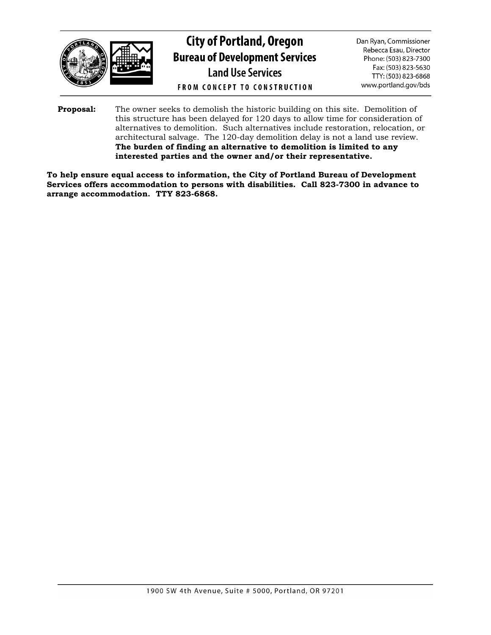

**City of Portland, Oregon Bureau of Development Services Land Use Services FROM CONCEPT TO CONSTRUCTION** 

Dan Ryan, Commissioner Rebecca Esau, Director Phone: (503) 823-7300 Fax: (503) 823-5630 TTY: (503) 823-6868 www.portland.gov/bds

**Proposal:** The owner seeks to demolish the historic building on this site. Demolition of this structure has been delayed for 120 days to allow time for consideration of alternatives to demolition. Such alternatives include restoration, relocation, or architectural salvage. The 120-day demolition delay is not a land use review. **The burden of finding an alternative to demolition is limited to any interested parties and the owner and/or their representative.**

**To help ensure equal access to information, the City of Portland Bureau of Development Services offers accommodation to persons with disabilities. Call 823-7300 in advance to arrange accommodation. TTY 823-6868.**